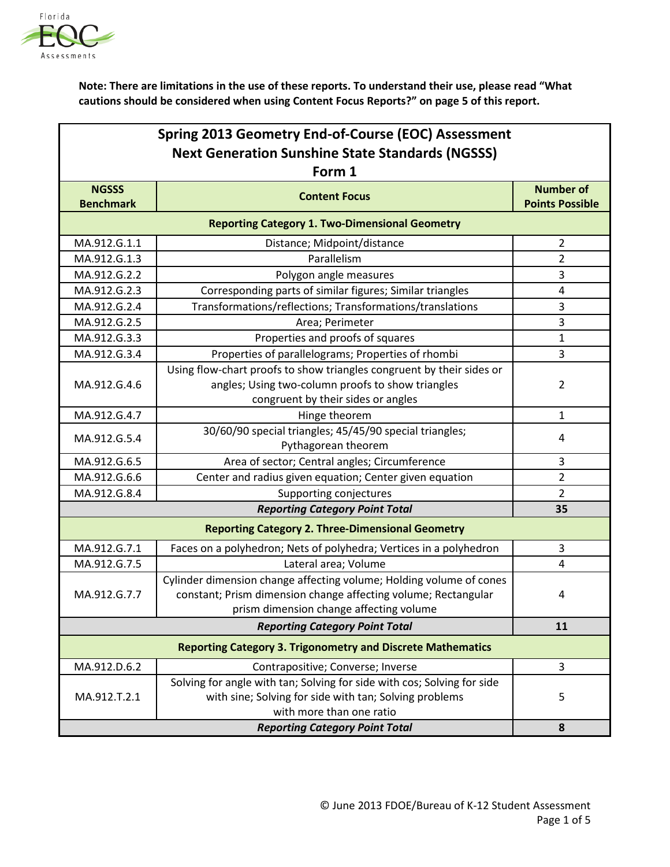

| Spring 2013 Geometry End-of-Course (EOC) Assessment<br><b>Next Generation Sunshine State Standards (NGSSS)</b><br>Form 1 |                                                                         |                |  |  |                  |                      |                        |
|--------------------------------------------------------------------------------------------------------------------------|-------------------------------------------------------------------------|----------------|--|--|------------------|----------------------|------------------------|
|                                                                                                                          |                                                                         |                |  |  | <b>NGSSS</b>     | <b>Content Focus</b> | <b>Number of</b>       |
|                                                                                                                          |                                                                         |                |  |  | <b>Benchmark</b> |                      | <b>Points Possible</b> |
|                                                                                                                          | <b>Reporting Category 1. Two-Dimensional Geometry</b>                   |                |  |  |                  |                      |                        |
| MA.912.G.1.1                                                                                                             | Distance; Midpoint/distance                                             | $\overline{2}$ |  |  |                  |                      |                        |
| MA.912.G.1.3                                                                                                             | Parallelism                                                             | $\overline{2}$ |  |  |                  |                      |                        |
| MA.912.G.2.2                                                                                                             | Polygon angle measures                                                  | 3              |  |  |                  |                      |                        |
| MA.912.G.2.3                                                                                                             | Corresponding parts of similar figures; Similar triangles               | $\pmb{4}$      |  |  |                  |                      |                        |
| MA.912.G.2.4                                                                                                             | Transformations/reflections; Transformations/translations               | 3              |  |  |                  |                      |                        |
| MA.912.G.2.5                                                                                                             | Area; Perimeter                                                         | $\mathbf{3}$   |  |  |                  |                      |                        |
| MA.912.G.3.3                                                                                                             | Properties and proofs of squares                                        | $\mathbf{1}$   |  |  |                  |                      |                        |
| MA.912.G.3.4                                                                                                             | Properties of parallelograms; Properties of rhombi                      | 3              |  |  |                  |                      |                        |
|                                                                                                                          | Using flow-chart proofs to show triangles congruent by their sides or   |                |  |  |                  |                      |                        |
| MA.912.G.4.6                                                                                                             | angles; Using two-column proofs to show triangles                       | $\overline{2}$ |  |  |                  |                      |                        |
|                                                                                                                          | congruent by their sides or angles                                      |                |  |  |                  |                      |                        |
| MA.912.G.4.7                                                                                                             | Hinge theorem                                                           | $\mathbf{1}$   |  |  |                  |                      |                        |
| MA.912.G.5.4                                                                                                             | 30/60/90 special triangles; 45/45/90 special triangles;                 | 4              |  |  |                  |                      |                        |
|                                                                                                                          | Pythagorean theorem                                                     |                |  |  |                  |                      |                        |
| MA.912.G.6.5                                                                                                             | Area of sector; Central angles; Circumference                           | 3              |  |  |                  |                      |                        |
| MA.912.G.6.6                                                                                                             | Center and radius given equation; Center given equation                 | $\overline{2}$ |  |  |                  |                      |                        |
| MA.912.G.8.4                                                                                                             | Supporting conjectures<br><b>Reporting Category Point Total</b>         | $\overline{2}$ |  |  |                  |                      |                        |
|                                                                                                                          | 35                                                                      |                |  |  |                  |                      |                        |
| <b>Reporting Category 2. Three-Dimensional Geometry</b>                                                                  |                                                                         |                |  |  |                  |                      |                        |
| MA.912.G.7.1                                                                                                             | Faces on a polyhedron; Nets of polyhedra; Vertices in a polyhedron      | 3              |  |  |                  |                      |                        |
| MA.912.G.7.5                                                                                                             | Lateral area; Volume                                                    | $\overline{4}$ |  |  |                  |                      |                        |
|                                                                                                                          | Cylinder dimension change affecting volume; Holding volume of cones     |                |  |  |                  |                      |                        |
| MA.912.G.7.7                                                                                                             | constant; Prism dimension change affecting volume; Rectangular          | 4              |  |  |                  |                      |                        |
|                                                                                                                          | prism dimension change affecting volume                                 |                |  |  |                  |                      |                        |
|                                                                                                                          | 11                                                                      |                |  |  |                  |                      |                        |
| <b>Reporting Category 3. Trigonometry and Discrete Mathematics</b>                                                       |                                                                         |                |  |  |                  |                      |                        |
| MA.912.D.6.2                                                                                                             | Contrapositive; Converse; Inverse                                       | $\overline{3}$ |  |  |                  |                      |                        |
|                                                                                                                          | Solving for angle with tan; Solving for side with cos; Solving for side |                |  |  |                  |                      |                        |
| MA.912.T.2.1                                                                                                             | with sine; Solving for side with tan; Solving problems                  | 5              |  |  |                  |                      |                        |
|                                                                                                                          | with more than one ratio                                                |                |  |  |                  |                      |                        |
|                                                                                                                          | 8                                                                       |                |  |  |                  |                      |                        |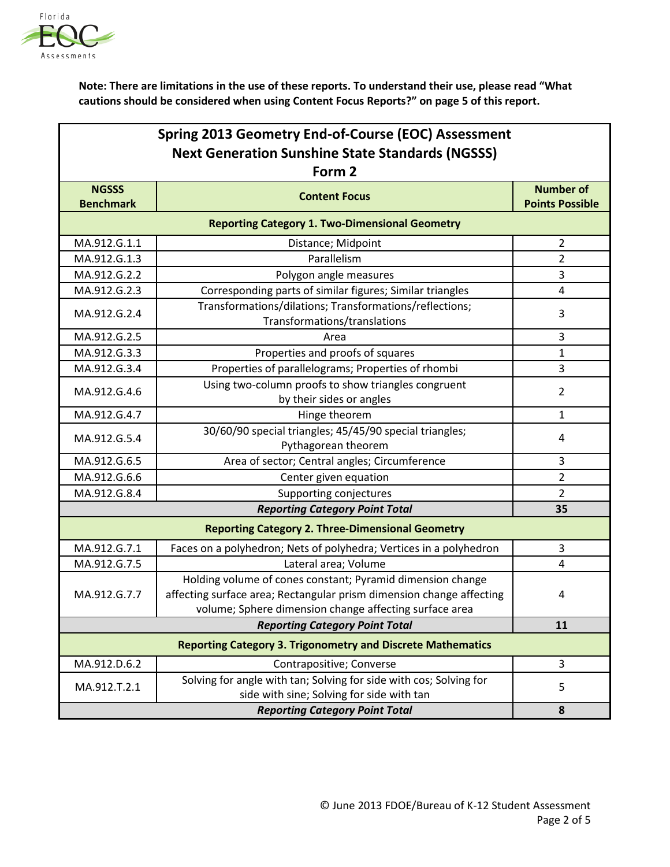

| Spring 2013 Geometry End-of-Course (EOC) Assessment                |                                                                                    |                        |  |  |
|--------------------------------------------------------------------|------------------------------------------------------------------------------------|------------------------|--|--|
| <b>Next Generation Sunshine State Standards (NGSSS)</b>            |                                                                                    |                        |  |  |
| Form 2                                                             |                                                                                    |                        |  |  |
| <b>NGSSS</b>                                                       | <b>Content Focus</b>                                                               | <b>Number of</b>       |  |  |
| <b>Benchmark</b>                                                   |                                                                                    | <b>Points Possible</b> |  |  |
|                                                                    | <b>Reporting Category 1. Two-Dimensional Geometry</b>                              |                        |  |  |
| MA.912.G.1.1                                                       | Distance; Midpoint                                                                 | $\overline{2}$         |  |  |
| MA.912.G.1.3                                                       | Parallelism                                                                        | $\overline{2}$         |  |  |
| MA.912.G.2.2                                                       | Polygon angle measures                                                             | 3                      |  |  |
| MA.912.G.2.3                                                       | Corresponding parts of similar figures; Similar triangles                          | $\overline{4}$         |  |  |
| MA.912.G.2.4                                                       | Transformations/dilations; Transformations/reflections;                            | 3                      |  |  |
|                                                                    | Transformations/translations                                                       |                        |  |  |
| MA.912.G.2.5                                                       | Area                                                                               | 3                      |  |  |
| MA.912.G.3.3                                                       | Properties and proofs of squares                                                   | $\mathbf{1}$           |  |  |
| MA.912.G.3.4                                                       | Properties of parallelograms; Properties of rhombi                                 | 3                      |  |  |
| MA.912.G.4.6                                                       | Using two-column proofs to show triangles congruent                                | $\overline{2}$         |  |  |
|                                                                    | by their sides or angles                                                           |                        |  |  |
| MA.912.G.4.7                                                       | Hinge theorem                                                                      | 1                      |  |  |
| MA.912.G.5.4                                                       | 30/60/90 special triangles; 45/45/90 special triangles;                            | $\overline{4}$         |  |  |
|                                                                    | Pythagorean theorem                                                                |                        |  |  |
| MA.912.G.6.5                                                       | Area of sector; Central angles; Circumference                                      | 3                      |  |  |
| MA.912.G.6.6                                                       | Center given equation                                                              | $\overline{2}$         |  |  |
| MA.912.G.8.4                                                       | Supporting conjectures                                                             | $\overline{2}$         |  |  |
| <b>Reporting Category Point Total</b>                              |                                                                                    | 35                     |  |  |
| <b>Reporting Category 2. Three-Dimensional Geometry</b>            |                                                                                    |                        |  |  |
| MA.912.G.7.1                                                       | Faces on a polyhedron; Nets of polyhedra; Vertices in a polyhedron                 | 3                      |  |  |
| MA.912.G.7.5                                                       | Lateral area; Volume                                                               | 4                      |  |  |
| MA.912.G.7.7                                                       | Holding volume of cones constant; Pyramid dimension change                         |                        |  |  |
|                                                                    | affecting surface area; Rectangular prism dimension change affecting               | 4                      |  |  |
|                                                                    | volume; Sphere dimension change affecting surface area                             |                        |  |  |
|                                                                    | 11                                                                                 |                        |  |  |
| <b>Reporting Category 3. Trigonometry and Discrete Mathematics</b> |                                                                                    |                        |  |  |
| MA.912.D.6.2                                                       | Contrapositive; Converse                                                           | 3                      |  |  |
| MA.912.T.2.1                                                       | Solving for angle with tan; Solving for side with cos; Solving for                 | 5                      |  |  |
|                                                                    | side with sine; Solving for side with tan<br><b>Reporting Category Point Total</b> |                        |  |  |
|                                                                    | 8                                                                                  |                        |  |  |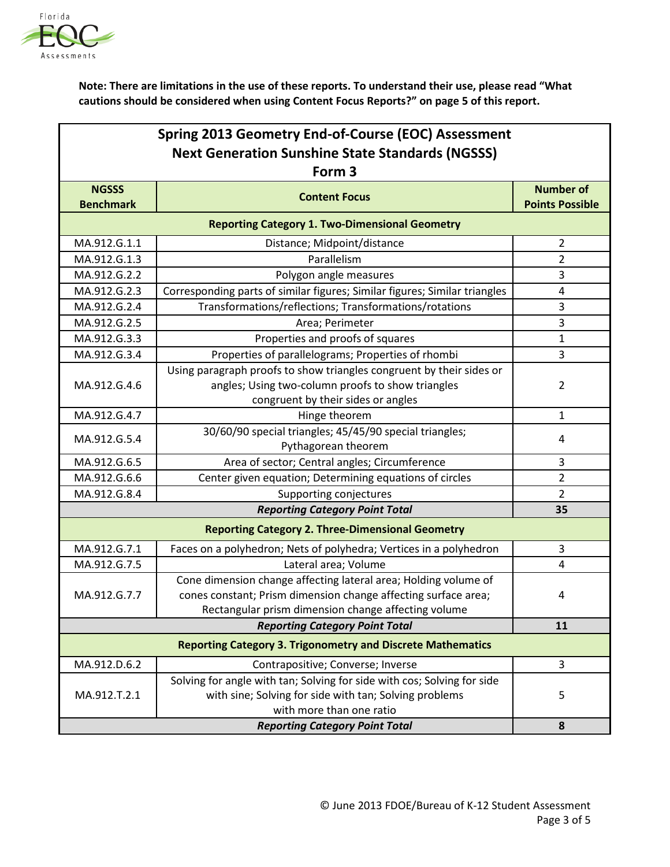

| Spring 2013 Geometry End-of-Course (EOC) Assessment                |                                                                            |                        |  |  |
|--------------------------------------------------------------------|----------------------------------------------------------------------------|------------------------|--|--|
| <b>Next Generation Sunshine State Standards (NGSSS)</b>            |                                                                            |                        |  |  |
| Form 3                                                             |                                                                            |                        |  |  |
| <b>NGSSS</b>                                                       | <b>Content Focus</b>                                                       | <b>Number of</b>       |  |  |
| <b>Benchmark</b>                                                   |                                                                            | <b>Points Possible</b> |  |  |
| <b>Reporting Category 1. Two-Dimensional Geometry</b>              |                                                                            |                        |  |  |
| MA.912.G.1.1                                                       | Distance; Midpoint/distance                                                | $\overline{2}$         |  |  |
| MA.912.G.1.3                                                       | Parallelism                                                                | 2                      |  |  |
| MA.912.G.2.2                                                       | Polygon angle measures                                                     | 3                      |  |  |
| MA.912.G.2.3                                                       | Corresponding parts of similar figures; Similar figures; Similar triangles | 4                      |  |  |
| MA.912.G.2.4                                                       | Transformations/reflections; Transformations/rotations                     | 3                      |  |  |
| MA.912.G.2.5                                                       | Area; Perimeter                                                            | 3                      |  |  |
| MA.912.G.3.3                                                       | Properties and proofs of squares                                           | $\mathbf{1}$           |  |  |
| MA.912.G.3.4                                                       | Properties of parallelograms; Properties of rhombi                         | 3                      |  |  |
|                                                                    | Using paragraph proofs to show triangles congruent by their sides or       |                        |  |  |
| MA.912.G.4.6                                                       | angles; Using two-column proofs to show triangles                          | $\overline{2}$         |  |  |
|                                                                    | congruent by their sides or angles                                         |                        |  |  |
| MA.912.G.4.7                                                       | Hinge theorem                                                              | 1                      |  |  |
| MA.912.G.5.4                                                       | 30/60/90 special triangles; 45/45/90 special triangles;                    | 4                      |  |  |
|                                                                    | Pythagorean theorem                                                        |                        |  |  |
| MA.912.G.6.5                                                       | Area of sector; Central angles; Circumference                              | 3                      |  |  |
| MA.912.G.6.6                                                       | Center given equation; Determining equations of circles                    | $\overline{2}$         |  |  |
| MA.912.G.8.4                                                       | Supporting conjectures                                                     | $\overline{2}$         |  |  |
| <b>Reporting Category Point Total</b>                              |                                                                            | 35                     |  |  |
| <b>Reporting Category 2. Three-Dimensional Geometry</b>            |                                                                            |                        |  |  |
| MA.912.G.7.1                                                       | Faces on a polyhedron; Nets of polyhedra; Vertices in a polyhedron         | 3                      |  |  |
| MA.912.G.7.5                                                       | Lateral area; Volume                                                       | 4                      |  |  |
|                                                                    | Cone dimension change affecting lateral area; Holding volume of            |                        |  |  |
| MA.912.G.7.7                                                       | cones constant; Prism dimension change affecting surface area;             | 4                      |  |  |
|                                                                    | Rectangular prism dimension change affecting volume                        |                        |  |  |
|                                                                    | <b>Reporting Category Point Total</b>                                      | 11                     |  |  |
| <b>Reporting Category 3. Trigonometry and Discrete Mathematics</b> |                                                                            |                        |  |  |
| MA.912.D.6.2                                                       | Contrapositive; Converse; Inverse                                          | 3                      |  |  |
|                                                                    | Solving for angle with tan; Solving for side with cos; Solving for side    |                        |  |  |
| MA.912.T.2.1                                                       | with sine; Solving for side with tan; Solving problems                     | 5                      |  |  |
|                                                                    | with more than one ratio                                                   |                        |  |  |
|                                                                    | 8                                                                          |                        |  |  |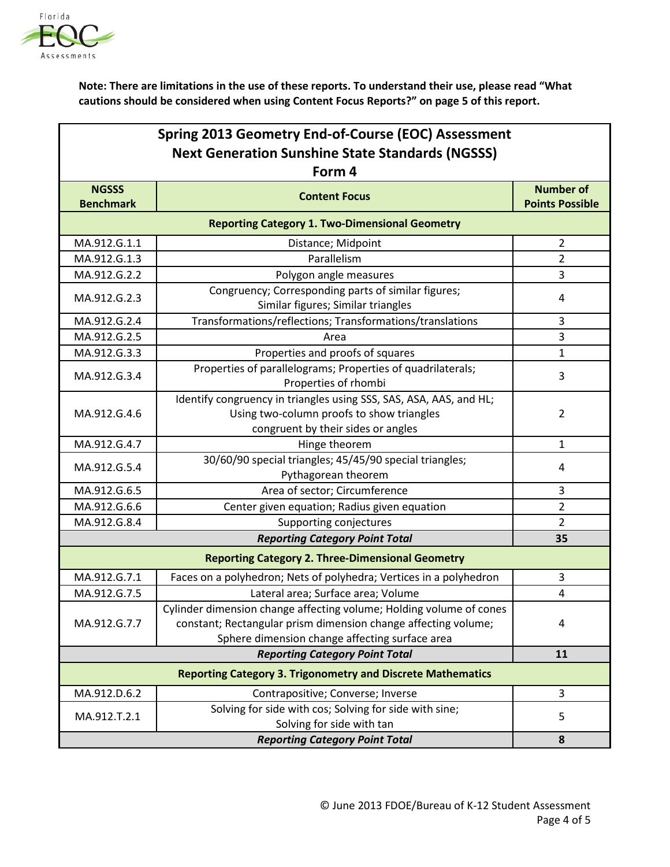

| Spring 2013 Geometry End-of-Course (EOC) Assessment                |                                                                                |                        |  |  |
|--------------------------------------------------------------------|--------------------------------------------------------------------------------|------------------------|--|--|
| <b>Next Generation Sunshine State Standards (NGSSS)</b>            |                                                                                |                        |  |  |
| Form 4                                                             |                                                                                |                        |  |  |
| <b>NGSSS</b>                                                       | <b>Content Focus</b>                                                           | <b>Number of</b>       |  |  |
| <b>Benchmark</b>                                                   |                                                                                | <b>Points Possible</b> |  |  |
|                                                                    | <b>Reporting Category 1. Two-Dimensional Geometry</b>                          |                        |  |  |
| MA.912.G.1.1                                                       | Distance; Midpoint                                                             | $\overline{2}$         |  |  |
| MA.912.G.1.3                                                       | Parallelism                                                                    | $\overline{2}$         |  |  |
| MA.912.G.2.2                                                       | Polygon angle measures                                                         | 3                      |  |  |
| MA.912.G.2.3                                                       | Congruency; Corresponding parts of similar figures;                            | 4                      |  |  |
|                                                                    | Similar figures; Similar triangles                                             |                        |  |  |
| MA.912.G.2.4                                                       | Transformations/reflections; Transformations/translations                      | 3                      |  |  |
| MA.912.G.2.5                                                       | Area                                                                           | 3                      |  |  |
| MA.912.G.3.3                                                       | Properties and proofs of squares                                               | $\mathbf{1}$           |  |  |
| MA.912.G.3.4                                                       | Properties of parallelograms; Properties of quadrilaterals;                    | 3                      |  |  |
|                                                                    | Properties of rhombi                                                           |                        |  |  |
|                                                                    | Identify congruency in triangles using SSS, SAS, ASA, AAS, and HL;             | $\overline{2}$         |  |  |
| MA.912.G.4.6                                                       | Using two-column proofs to show triangles                                      |                        |  |  |
|                                                                    | congruent by their sides or angles                                             |                        |  |  |
| MA.912.G.4.7                                                       | Hinge theorem                                                                  | $\mathbf{1}$           |  |  |
| MA.912.G.5.4                                                       | 30/60/90 special triangles; 45/45/90 special triangles;<br>Pythagorean theorem | 4                      |  |  |
| MA.912.G.6.5                                                       | Area of sector; Circumference                                                  | 3                      |  |  |
| MA.912.G.6.6                                                       | Center given equation; Radius given equation                                   | $\overline{2}$         |  |  |
| MA.912.G.8.4                                                       | Supporting conjectures                                                         | $\overline{2}$         |  |  |
|                                                                    | <b>Reporting Category Point Total</b>                                          | 35                     |  |  |
| <b>Reporting Category 2. Three-Dimensional Geometry</b>            |                                                                                |                        |  |  |
| MA.912.G.7.1                                                       | Faces on a polyhedron; Nets of polyhedra; Vertices in a polyhedron             | 3                      |  |  |
| MA.912.G.7.5                                                       | Lateral area; Surface area; Volume                                             | 4                      |  |  |
|                                                                    | Cylinder dimension change affecting volume; Holding volume of cones            |                        |  |  |
| MA.912.G.7.7                                                       | constant; Rectangular prism dimension change affecting volume;                 | 4                      |  |  |
|                                                                    | Sphere dimension change affecting surface area                                 |                        |  |  |
| <b>Reporting Category Point Total</b>                              |                                                                                | 11                     |  |  |
| <b>Reporting Category 3. Trigonometry and Discrete Mathematics</b> |                                                                                |                        |  |  |
| MA.912.D.6.2                                                       | Contrapositive; Converse; Inverse                                              | 3                      |  |  |
| MA.912.T.2.1                                                       | Solving for side with cos; Solving for side with sine;                         | 5                      |  |  |
|                                                                    | Solving for side with tan<br><b>Reporting Category Point Total</b>             |                        |  |  |
|                                                                    | 8                                                                              |                        |  |  |